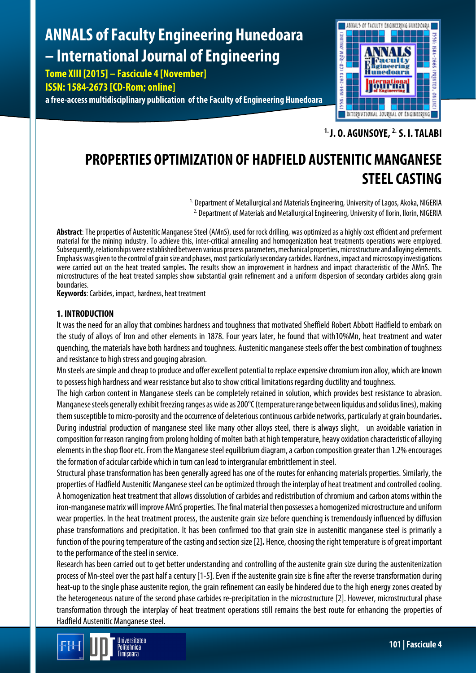# **ANNALS of Faculty Engineering Hunedoara – International Journal of Engineering**

**Tome XIII [2015] – Fascicule 4 [November] ISSN: 1584-2673 [CD-Rom; online] a free-access multidisciplinary publication of the Faculty of Engineering Hunedoara**



**1. J. O. AGUNSOYE, 2. S. I. TALABI**

## **PROPERTIES OPTIMIZATION OF HADFIELD AUSTENITIC MANGANESE STEEL CASTING**

<sup>1.</sup> Department of Metallurgical and Materials Engineering, University of Lagos, Akoka, NIGERIA <sup>2.</sup> Department of Materials and Metallurgical Engineering, University of Ilorin, Ilorin, NIGERIA

**Abstract**: The properties of Austenitic Manganese Steel (AMnS), used for rock drilling, was optimized as a highly cost efficient and preferment material for the mining industry. To achieve this, inter-critical annealing and homogenization heat treatments operations were employed. Subsequently, relationships were established between various process parameters, mechanical properties, microstructure and alloying elements. Emphasis was given to the control of grain size and phases, most particularly secondary carbides. Hardness, impact and microscopy investigations were carried out on the heat treated samples. The results show an improvement in hardness and impact characteristic of the AMnS. The microstructures of the heat treated samples show substantial grain refinement and a uniform dispersion of secondary carbides along grain boundaries.

**Keywords**: Carbides, impact, hardness, heat treatment

### **1. INTRODUCTION**

It was the need for an alloy that combines hardness and toughness that motivated Sheffield Robert Abbott Hadfield to embark on the study of alloys of Iron and other elements in 1878. Four years later, he found that with10%Mn, heat treatment and water quenching, the materials have both hardness and toughness. Austenitic manganese steels offer the best combination of toughness and resistance to high stress and gouging abrasion.

Mn steels are simple and cheap to produce and offer excellent potential to replace expensive chromium iron alloy, which areknown to possess high hardness and wear resistance but also to show critical limitations regarding ductility and toughness.

The high carbon content in Manganese steels can be completely retained in solution, which provides best resistance to abrasion. Manganese steels generally exhibit freezing ranges as wide as 200°C (temperature range between liquidus and solidus lines), making them susceptible to micro-porosity and the occurrence of deleterious continuous carbide networks, particularly at grain boundaries**.**  During industrial production of manganese steel like many other alloys steel, there is always slight, un avoidable variation in composition for reason ranging from prolong holding of molten bath at high temperature, heavy oxidation characteristic of alloying elements in the shop floor etc. From the Manganese steel equilibrium diagram, a carbon composition greater than 1.2% encourages the formation of acicular carbide which in turn can lead to intergranular embrittlement in steel.

Structural phase transformation has been generally agreed has one of the routes for enhancing materials properties. Similarly, the properties of Hadfield Austenitic Manganese steel can be optimized through the interplay of heat treatment and controlled cooling. A homogenization heat treatment that allows dissolution of carbides and redistribution of chromium and carbon atoms within the iron-manganese matrix will improve AMnS properties. The final material then possesses a homogenized microstructure and uniform wear properties. In the heat treatment process, the austenite grain size before quenching is tremendously influenced by diffusion phase transformations and precipitation. It has been confirmed too that grain size in austenitic manganese steel is primarily a function of the pouring temperature of the casting and section size [2]. Hence, choosing the right temperature is of great important to the performance of the steel in service.

Research has been carried out to get better understanding and controlling of the austenite grain size during the austenitenization process of Mn-steel over the past half a century [1-5]. Even if the austenite grain size is fine after the reverse transformation during heat-up to the single phase austenite region, the grain refinement can easily be hindered due to the high energy zones created by the heterogeneous nature of the second phase carbides re-precipitation in the microstructure [2]. However, microstructural phase transformation through the interplay of heat treatment operations still remains the best route for enhancing the properties of Hadfield Austenitic Manganese steel.

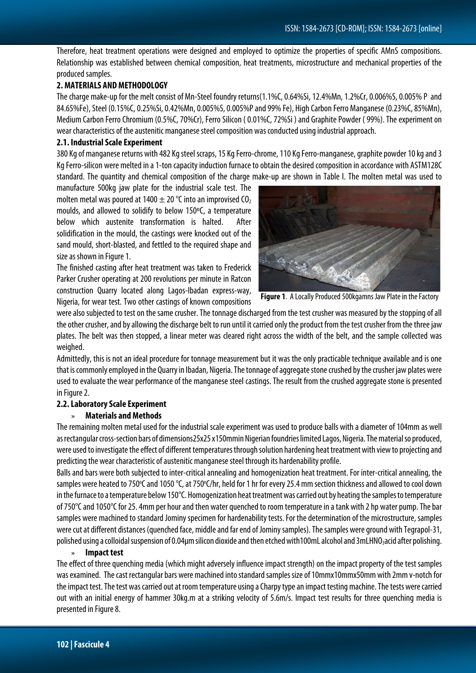Therefore, heat treatment operations were designed and employed to optimize the properties of specific AMnS compositions. Relationship was established between chemical composition, heat treatments, microstructure and mechanical properties of the produced samples.

#### **2. MATERIALS AND METHODOLOGY**

The charge make-up for the melt consist of Mn-Steel foundry returns(1.1%C, 0.64%Si, 12.4%Mn, 1.2%Cr, 0.006%S, 0.005% P and 84.65%Fe), Steel (0.15%C, 0.25%Si,0.42%Mn, 0.005%S,0.005%P and 99% Fe), High Carbon Ferro Manganese(0.23%C, 85%Mn), Medium Carbon Ferro Chromium (0.5%C, 70%Cr), Ferro Silicon ( 0.01%C, 72%Si ) and Graphite Powder ( 99%). The experiment on wear characteristics of the austenitic manganese steel composition was conducted using industrial approach.

#### **2.1. Industrial Scale Experiment**

380 Kg of manganese returns with 482 Kg steel scraps, 15 Kg Ferro-chrome, 110 Kg Ferro-manganese, graphite powder 10kg and 3 Kg Ferro-silicon were melted in a 1-ton capacity induction furnace to obtain the desired composition in accordance with ASTM128C standard. The quantity and chemical composition of the charge make-up are shown in Table I. The molten metal was used to

manufacture 500kg jaw plate for the industrial scale test. The molten metal was poured at 1400  $\pm$  20 °C into an improvised CO<sub>2</sub> moulds, and allowed to solidify to below 150ºC, a temperature below which austenite transformation is halted. After solidification in the mould, the castings were knocked out of the sand mould, short-blasted, and fettled to the required shape and size as shown in Figure 1.

The finished casting after heat treatment was taken to Frederick Parker Crusher operating at 200 revolutions per minute in Ratcon construction Quarry located along Lagos-Ibadan express-way, Nigeria, for wear test. Two other castings of known compositions



**Figure 1**. A Locally Produced 500kgamns Jaw Plate in the Factory

were also subjected to test on the same crusher. The tonnage discharged from the test crusher was measured by the stopping of all the other crusher, and by allowing the discharge belt to run until it carried only the product from the test crusher from thethree jaw plates. The belt was then stopped, a linear meter was cleared right across the width of the belt, and the sample collected was weighed.

Admittedly, this is not an ideal procedure for tonnage measurement but it was the only practicable technique available and isone that is commonly employed in the Quarry in Ibadan, Nigeria. The tonnage of aggregate stone crushed by the crusher jaw plates were used to evaluate the wear performance of the manganese steel castings. The result from the crushed aggregate stone is presented in Figure 2.

#### **2.2. Laboratory Scale Experiment**

#### » **Materials and Methods**

The remaining molten metal used for the industrial scale experiment was used to produce balls with a diameter of 104mm as well as rectangular cross-section bars of dimensions25x25 x150mmin Nigerian foundries limited Lagos, Nigeria. The material so produced, were used to investigate the effect of different temperatures through solution hardening heat treatment with view to projecting and predicting the wear characteristic of austenitic manganese steel through its hardenability profile.

Balls and bars were both subjected to inter-critical annealing and homogenization heat treatment. For inter-critical annealing, the samples were heated to 750℃ and 1050 °C, at 750°C/hr, held for 1 hr for every 25.4 mm section thickness and allowed to cool down in the furnace to a temperature below 150°C. Homogenization heat treatment was carried out by heating the samples to temperature of 750 $^{\circ}$ C and 1050 $^{\circ}$ C for 25. 4mm per hour and then water quenched to room temperature in a tank with 2 hp water pump. The bar samples were machined to standard Jominy specimen for hardenability tests. For the determination of the microstructure, samples were cut at different distances (quenched face, middle and far end of Jominy samples). The samples were ground with Tegrapol-31, polished using a colloidal suspension of 0.04µm silicon dioxide and then etched with100mL alcohol and 3mLHNO3acid after polishing.

#### » **Impact test**

The effect of three quenching media (which might adversely influence impact strength) on the impact property of the test samples was examined. The cast rectangular bars were machined into standard samples size of 10mmx10mmx50mm with 2mm v-notch for the impact test. The test was carried out at room temperature using a Charpy type an impact testing machine. The tests were carried out with an initial energy of hammer 30kg.m at a striking velocity of 5.6m/s. Impact test results for three quenching media is presented in Figure 8.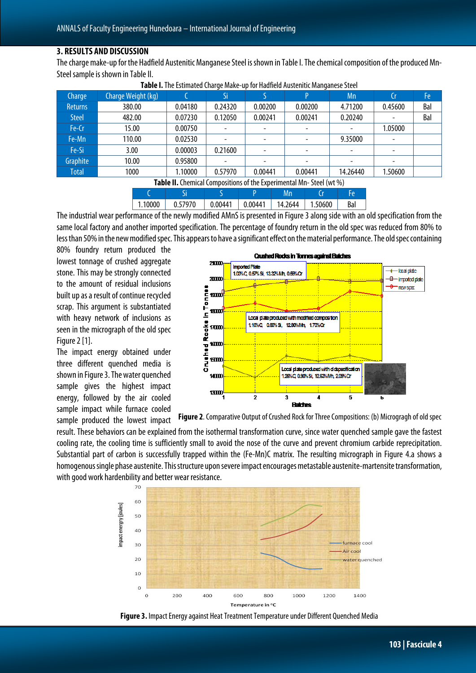#### **3. RESULTS AND DISCUSSION**

The charge make-up for the Hadfield Austenitic Manganese Steel is shown in Table I. The chemical composition of the produced Mn-Steel sample is shown in Table II.

| Charge                                                                     | Charge Weight (kg) |         | Si      |                          | D                    | Mn          | Cr      | Fe  |
|----------------------------------------------------------------------------|--------------------|---------|---------|--------------------------|----------------------|-------------|---------|-----|
| <b>Returns</b>                                                             | 380.00             | 0.04180 | 0.24320 | 0.00200                  | 0.00200              | 4.71200     | 0.45600 | Bal |
| <b>Steel</b>                                                               | 482.00             | 0.07230 | 0.12050 | 0.00241                  | 0.00241              | 0.20240     |         | Bal |
| Fe-Cr                                                                      | 15.00              | 0.00750 |         | $\overline{\phantom{0}}$ |                      | -           | 1.05000 |     |
| Fe-Mn                                                                      | 110.00             | 0.02530 |         |                          |                      | 9.35000     |         |     |
| Fe-Si                                                                      | 3.00               | 0.00003 | 0.21600 |                          |                      |             |         |     |
| Graphite                                                                   | 10.00              | 0.95800 |         |                          |                      |             |         |     |
| <b>Total</b>                                                               | 1000               | 1.10000 | 0.57970 | 0.00441                  | 0.00441              | 14.26440    | 1.50600 |     |
| <b>Table II.</b> Chemical Compositions of the Experimental Mn-Steel (wt %) |                    |         |         |                          |                      |             |         |     |
|                                                                            |                    | $\sim$  |         | $\sqrt{2}$               | AA.<br><b>Carlos</b> | <b>TALL</b> |         |     |

**Table I.**The Estimated Charge Make-up for Hadfield Austenitic Manganese Steel

C Si S P Mn Cr Fe 1.10000 0.57970 0.00441 0.00441 14.2644 1.50600 Bal

The industrial wear performance of the newly modified AMnS is presented in Figure 3along side with an old specification from the same local factory and another imported specification. The percentage of foundry return in the old spec was reduced from 80% to less than 50% in the new modified spec. This appears to have a significant effect on the material performance. The old spec containing

80% foundry return produced the lowest tonnage of crushed aggregate stone. This may be strongly connected to the amount of residual inclusions built up as a result of continue recycled scrap. This argument is substantiated with heavy network of inclusions as seen in the micrograph of the old spec Figure 2 [1].

The impact energy obtained under three different quenched media is shown in Figure 3. The water quenched sample gives the highest impact energy, followed by the air cooled sample impact while furnace cooled sample produced the lowest impact



**Figure 2.** Comparative Output of Crushed Rock for Three Compositions: (b) Microgragh of old spec

result. These behaviors can be explained from the isothermal transformation curve, since water quenched sample gave the fastest cooling rate, the cooling time is sufficiently small to avoid the nose of the curve and prevent chromium carbide reprecipitation. Substantial part of carbon is successfully trapped within the (Fe-Mn)C matrix. The resulting micrograph in Figure 4.a shows a homogenous single phase austenite. This structure upon severe impact encourages metastable austenite-martensite transformation, with good work hardenbility and better wear resistance.



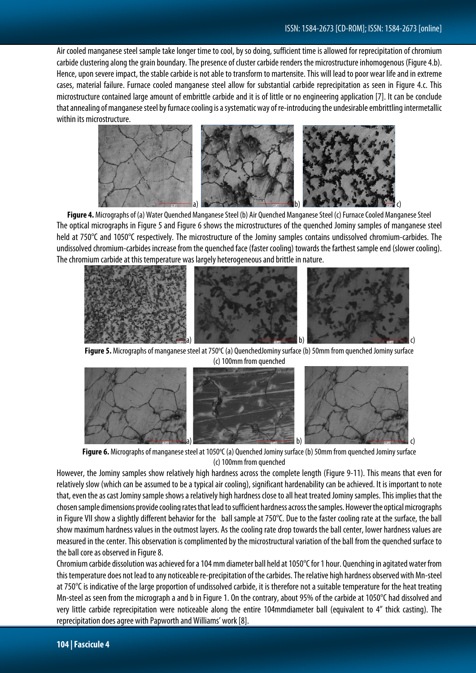Air cooled manganese steel sample take longer time to cool, by so doing, sufficient time is allowed for reprecipitation of chromium carbide clustering along the grain boundary. The presence of cluster carbide renders the microstructure inhomogenous (Figure 4.b). Hence, upon severe impact, the stable carbide is not able to transform to martensite. This will lead to poor wear life and in extreme cases, material failure. Furnace cooled manganese steel allow for substantial carbide reprecipitation as seen in Figure 4.c. This microstructure contained large amount of embrittle carbide and it is of little or no engineering application [7]. It can be conclude that annealing of manganese steel by furnace cooling is a systematic way of re-introducing the undesirable embrittling intermetallic within its microstructure.



**Figure 4.** Micrographs of (a) Water Quenched Manganese Steel (b) Air Quenched Manganese Steel (c) Furnace Cooled Manganese Steel The optical micrographs in Figure 5 and Figure 6 shows the microstructures of the quenched Jominy samples of manganese steel held at 750°C and 1050°C respectively. The microstructure of the Jominy samples contains undissolved chromium-carbides. The undissolved chromium-carbides increase from the quenched face (faster cooling) towards the farthest sample end (slower cooling). The chromium carbide at this temperature was largely heterogeneous and brittle in nature.



Figure 5. Micrographs of manganese steel at 750°C (a) QuenchedJominy surface (b) 50mm from quenched Jominy surface (c) 100mm from quenched



Figure 6. Micrographs of manganese steel at 1050°C (a) Quenched Jominy surface (b) 50mm from quenched Jominy surface (c) 100mm from quenched

However, the Jominy samples show relatively high hardness across the complete length (Figure 9-11). This means that even for relatively slow (which can be assumed to be a typical air cooling), significant hardenability can be achieved. It is important to note that, even the as cast Jominy sample shows a relatively high hardness close to all heat treated Jominy samples. This implies that the chosen sample dimensions provide cooling rates that lead to sufficient hardness across the samples. However the optical micrographs in Figure VII show a slightly different behavior for the ball sample at 750°C. Due to the faster cooling rate at the surface, the ball show maximum hardness values in the outmost layers. As the cooling rate drop towards the ball center, lower hardness values are measured in the center. This observation is complimented by the microstructural variation of the ball from the quenched surface to the ball core as observed in Figure 8.

Chromium carbide dissolution was achieved for a 104 mm diameter ball held at 1050°C for 1 hour. Quenching in agitated water from this temperature does not lead to any noticeable re-precipitation of the carbides. The relative high hardness observed with Mn-steel at 750°C is indicative of the large proportion of undissolved carbide, it is therefore not a suitable temperature for the heat treating Mn-steel as seen from the micrograph a and b in Figure 1. On the contrary, about 95% of the carbide at 1050°C had dissolved and very little carbide reprecipitation were noticeable along the entire 104mmdiameter ball (equivalent to 4" thick casting). The reprecipitation does agree with Papworth and Williams' work [8].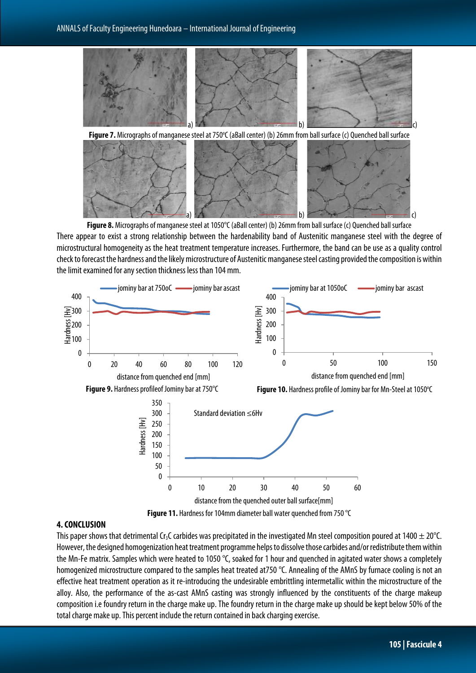



**Figure 8.** Micrographs of manganese steel at 1050°C (aBall center) (b) 26mm from ball surface(c) Quenched ball surface There appear to exist a strong relationship between the hardenability band of Austenitic manganese steel with the degree of microstructural homogeneity as the heat treatment temperature increases. Furthermore, the band can be use as a quality control check to forecast the hardness and the likely microstructure of Austenitic manganese steel casting provided the composition is within the limit examined for any section thickness less than 104 mm.



#### **4. CONCLUSION**

This paper shows that detrimental Cr<sub>3</sub>C carbides was precipitated in the investigated Mn steel composition poured at 1400  $\pm$  20°C. However, the designed homogenization heat treatment programme helps to dissolve those carbides and/or redistribute them within the Mn-Fe matrix. Samples which were heated to 1050 °C, soaked for 1 hour and quenched in agitated water shows a completely homogenized microstructure compared to the samples heat treated at750 °C. Annealing of the AMnS by furnace cooling is not an effective heat treatment operation as it re-introducing the undesirable embrittling intermetallic within the microstructure of the alloy. Also, the performance of the as-cast AMnS casting was strongly influenced by the constituents of the charge makeup composition i.e foundry return in the charge make up. The foundry return in the charge make up should be kept below 50% of the total charge make up. This percent include the return contained in back charging exercise.